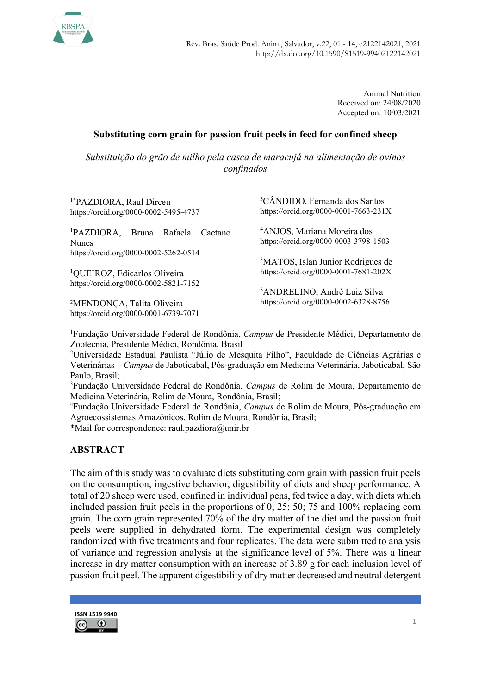

Animal Nutrition Received on: 24/08/2020 Accepted on: 10/03/2021

## Substituting corn grain for passion fruit peels in feed for confined sheep

Substituição do grão de milho pela casca de maracujá na alimentação de ovinos confinados

| <sup>1*</sup> PAZDIORA, Raul Dirceu<br>https://orcid.org/0000-0002-5495-4737    | <sup>3</sup> CÂNDIDO, Fernanda dos Santos<br>https://orcid.org/0000-0001-7663-231X     |
|---------------------------------------------------------------------------------|----------------------------------------------------------------------------------------|
| <sup>1</sup> PAZDIORA,<br>Rafaela<br>Bruna<br>Caetano<br><b>Nunes</b>           | <sup>4</sup> ANJOS, Mariana Moreira dos<br>https://orcid.org/0000-0003-3798-1503       |
| https://orcid.org/0000-0002-5262-0514                                           |                                                                                        |
| <sup>1</sup> QUEIROZ, Edicarlos Oliveira                                        | <sup>3</sup> MATOS, Islan Junior Rodrigues de<br>https://orcid.org/0000-0001-7681-202X |
| https://orcid.org/0000-0002-5821-7152                                           |                                                                                        |
|                                                                                 | <sup>3</sup> ANDRELINO, André Luiz Silva<br>https://orcid.org/0000-0002-6328-8756      |
| <sup>2</sup> MENDONÇA, Talita Oliveira<br>https://orcid.org/0000-0001-6739-7071 |                                                                                        |
|                                                                                 |                                                                                        |

<sup>1</sup>Fundação Universidade Federal de Rondônia, Campus de Presidente Médici, Departamento de Zootecnia, Presidente Médici, Rondônia, Brasil

<sup>2</sup>Universidade Estadual Paulista "Júlio de Mesquita Filho", Faculdade de Ciências Agrárias e Veterinárias – Campus de Jaboticabal, Pós-graduação em Medicina Veterinária, Jaboticabal, São Paulo, Brasil;

<sup>3</sup>Fundação Universidade Federal de Rondônia, Campus de Rolim de Moura, Departamento de Medicina Veterinária, Rolim de Moura, Rondônia, Brasil;

<sup>4</sup>Fundação Universidade Federal de Rondônia, Campus de Rolim de Moura, Pós-graduação em Agroecossistemas Amazônicos, Rolim de Moura, Rondônia, Brasil;

\*Mail for correspondence: raul.pazdiora@unir.br

### ABSTRACT

The aim of this study was to evaluate diets substituting corn grain with passion fruit peels on the consumption, ingestive behavior, digestibility of diets and sheep performance. A total of 20 sheep were used, confined in individual pens, fed twice a day, with diets which included passion fruit peels in the proportions of 0; 25; 50; 75 and 100% replacing corn grain. The corn grain represented 70% of the dry matter of the diet and the passion fruit peels were supplied in dehydrated form. The experimental design was completely randomized with five treatments and four replicates. The data were submitted to analysis of variance and regression analysis at the significance level of 5%. There was a linear increase in dry matter consumption with an increase of 3.89 g for each inclusion level of passion fruit peel. The apparent digestibility of dry matter decreased and neutral detergent

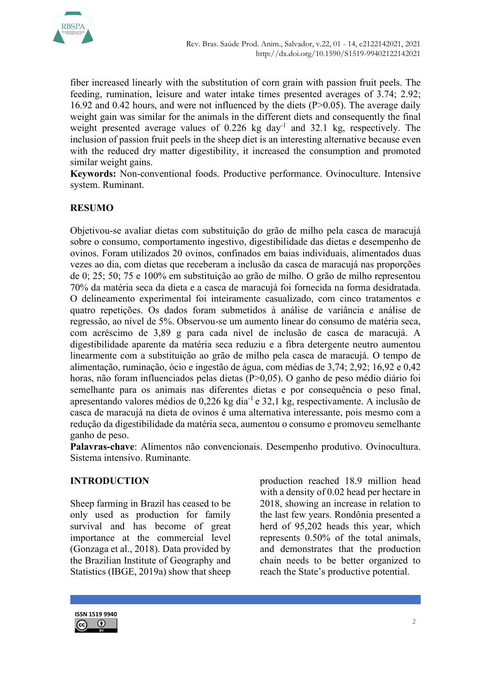

fiber increased linearly with the substitution of corn grain with passion fruit peels. The feeding, rumination, leisure and water intake times presented averages of 3.74; 2.92; 16.92 and 0.42 hours, and were not influenced by the diets (P>0.05). The average daily weight gain was similar for the animals in the different diets and consequently the final weight presented average values of 0.226 kg day<sup>-1</sup> and 32.1 kg, respectively. The inclusion of passion fruit peels in the sheep diet is an interesting alternative because even with the reduced dry matter digestibility, it increased the consumption and promoted similar weight gains.

Keywords: Non-conventional foods. Productive performance. Ovinoculture. Intensive system. Ruminant.

## RESUMO

Objetivou-se avaliar dietas com substituição do grão de milho pela casca de maracujá sobre o consumo, comportamento ingestivo, digestibilidade das dietas e desempenho de ovinos. Foram utilizados 20 ovinos, confinados em baias individuais, alimentados duas vezes ao dia, com dietas que receberam a inclusão da casca de maracujá nas proporções de 0; 25; 50; 75 e 100% em substituição ao grão de milho. O grão de milho representou 70% da matéria seca da dieta e a casca de maracujá foi fornecida na forma desidratada. O delineamento experimental foi inteiramente casualizado, com cinco tratamentos e quatro repetições. Os dados foram submetidos à análise de variância e análise de regressão, ao nível de 5%. Observou-se um aumento linear do consumo de matéria seca, com acréscimo de 3,89 g para cada nível de inclusão de casca de maracujá. A digestibilidade aparente da matéria seca reduziu e a fibra detergente neutro aumentou linearmente com a substituição ao grão de milho pela casca de maracujá. O tempo de alimentação, ruminação, ócio e ingestão de água, com médias de 3,74; 2,92; 16,92 e 0,42 horas, não foram influenciados pelas dietas (P>0,05). O ganho de peso médio diário foi semelhante para os animais nas diferentes dietas e por consequência o peso final, apresentando valores médios de 0,226 kg dia-1 e 32,1 kg, respectivamente. A inclusão de casca de maracujá na dieta de ovinos é uma alternativa interessante, pois mesmo com a redução da digestibilidade da matéria seca, aumentou o consumo e promoveu semelhante ganho de peso.

Palavras-chave: Alimentos não convencionais. Desempenho produtivo. Ovinocultura. Sistema intensivo. Ruminante.

### INTRODUCTION

Sheep farming in Brazil has ceased to be only used as production for family survival and has become of great importance at the commercial level (Gonzaga et al., 2018). Data provided by the Brazilian Institute of Geography and Statistics (IBGE, 2019a) show that sheep production reached 18.9 million head with a density of 0.02 head per hectare in 2018, showing an increase in relation to the last few years. Rondônia presented a herd of 95,202 heads this year, which represents 0.50% of the total animals, and demonstrates that the production chain needs to be better organized to reach the State's productive potential.

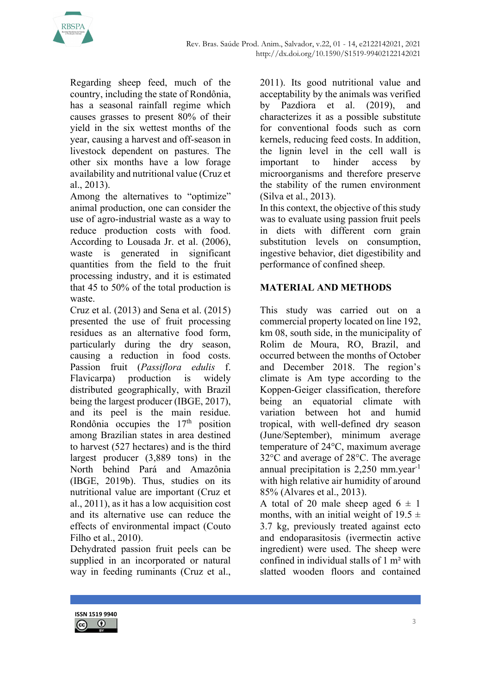Regarding sheep feed, much of the country, including the state of Rondônia, has a seasonal rainfall regime which causes grasses to present 80% of their yield in the six wettest months of the year, causing a harvest and off-season in livestock dependent on pastures. The other six months have a low forage availability and nutritional value (Cruz et al., 2013).

Among the alternatives to "optimize" animal production, one can consider the use of agro-industrial waste as a way to reduce production costs with food. According to Lousada Jr. et al. (2006), waste is generated in significant quantities from the field to the fruit processing industry, and it is estimated that 45 to 50% of the total production is waste.

Cruz et al. (2013) and Sena et al. (2015) presented the use of fruit processing residues as an alternative food form, particularly during the dry season, causing a reduction in food costs. Passion fruit (Passiflora edulis f. Flavicarpa) production is widely distributed geographically, with Brazil being the largest producer (IBGE, 2017), and its peel is the main residue. Rondônia occupies the  $17<sup>th</sup>$  position among Brazilian states in area destined to harvest (527 hectares) and is the third largest producer (3,889 tons) in the North behind Pará and Amazônia (IBGE, 2019b). Thus, studies on its nutritional value are important (Cruz et al., 2011), as it has a low acquisition cost and its alternative use can reduce the effects of environmental impact (Couto Filho et al., 2010).

Dehydrated passion fruit peels can be supplied in an incorporated or natural way in feeding ruminants (Cruz et al.,

2011). Its good nutritional value and acceptability by the animals was verified by Pazdiora et al. (2019), and characterizes it as a possible substitute for conventional foods such as corn kernels, reducing feed costs. In addition, the lignin level in the cell wall is important to hinder access by microorganisms and therefore preserve the stability of the rumen environment (Silva et al., 2013).

In this context, the objective of this study was to evaluate using passion fruit peels in diets with different corn grain substitution levels on consumption, ingestive behavior, diet digestibility and performance of confined sheep.

# MATERIAL AND METHODS

This study was carried out on a commercial property located on line 192, km 08, south side, in the municipality of Rolim de Moura, RO, Brazil, and occurred between the months of October and December 2018. The region's climate is Am type according to the Koppen-Geiger classification, therefore being an equatorial climate with variation between hot and humid tropical, with well-defined dry season (June/September), minimum average temperature of 24°C, maximum average 32°C and average of 28°C. The average annual precipitation is 2,250 mm.year<sup>-1</sup> with high relative air humidity of around 85% (Alvares et al., 2013).

A total of 20 male sheep aged  $6 \pm 1$ months, with an initial weight of  $19.5 \pm$ 3.7 kg, previously treated against ecto and endoparasitosis (ivermectin active ingredient) were used. The sheep were confined in individual stalls of 1 m² with slatted wooden floors and contained

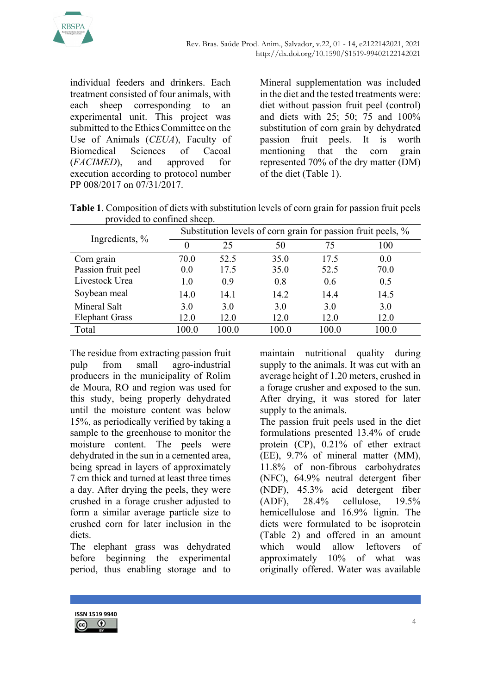

individual feeders and drinkers. Each treatment consisted of four animals, with each sheep corresponding to an experimental unit. This project was submitted to the Ethics Committee on the Use of Animals (CEUA), Faculty of Biomedical Sciences of Cacoal (FACIMED), and approved for execution according to protocol number PP 008/2017 on 07/31/2017.

Mineral supplementation was included in the diet and the tested treatments were: diet without passion fruit peel (control) and diets with 25; 50; 75 and 100% substitution of corn grain by dehydrated passion fruit peels. It is worth mentioning that the corn grain represented 70% of the dry matter (DM) of the diet (Table 1).

Table 1. Composition of diets with substitution levels of corn grain for passion fruit peels provided to confined sheep.

|                       | Substitution levels of corn grain for passion fruit peels, % |      |       |       |       |  |  |  |
|-----------------------|--------------------------------------------------------------|------|-------|-------|-------|--|--|--|
| Ingredients, %        | $\theta$                                                     | 25   | 50    | 75    | 100   |  |  |  |
| Corn grain            | 70.0                                                         | 52.5 | 35.0  | 17.5  | 0.0   |  |  |  |
| Passion fruit peel    | 0.0                                                          | 17.5 | 35.0  | 52.5  | 70.0  |  |  |  |
| Livestock Urea        | 1.0                                                          | 0.9  | 0.8   | 0.6   | 0.5   |  |  |  |
| Soybean meal          | 14.0                                                         | 14.1 | 14.2  | 14.4  | 14.5  |  |  |  |
| Mineral Salt          | 3.0                                                          | 3.0  | 3.0   | 3.0   | 3.0   |  |  |  |
| <b>Elephant Grass</b> | 12.0                                                         | 12.0 | 12.0  | 12.0  | 12.0  |  |  |  |
| Total                 | 100.0                                                        | 0.00 | 100.0 | 100.0 | 100.0 |  |  |  |

The residue from extracting passion fruit pulp from small agro-industrial producers in the municipality of Rolim de Moura, RO and region was used for this study, being properly dehydrated until the moisture content was below 15%, as periodically verified by taking a sample to the greenhouse to monitor the moisture content. The peels were dehydrated in the sun in a cemented area, being spread in layers of approximately 7 cm thick and turned at least three times a day. After drying the peels, they were crushed in a forage crusher adjusted to form a similar average particle size to crushed corn for later inclusion in the diets.

The elephant grass was dehydrated before beginning the experimental period, thus enabling storage and to

maintain nutritional quality during supply to the animals. It was cut with an average height of 1.20 meters, crushed in a forage crusher and exposed to the sun. After drying, it was stored for later supply to the animals.

The passion fruit peels used in the diet formulations presented 13.4% of crude protein (CP), 0.21% of ether extract (EE), 9.7% of mineral matter (MM), 11.8% of non-fibrous carbohydrates (NFC), 64.9% neutral detergent fiber (NDF), 45.3% acid detergent fiber (ADF), 28.4% cellulose, 19.5% hemicellulose and 16.9% lignin. The diets were formulated to be isoprotein (Table 2) and offered in an amount which would allow leftovers of approximately 10% of what was originally offered. Water was available

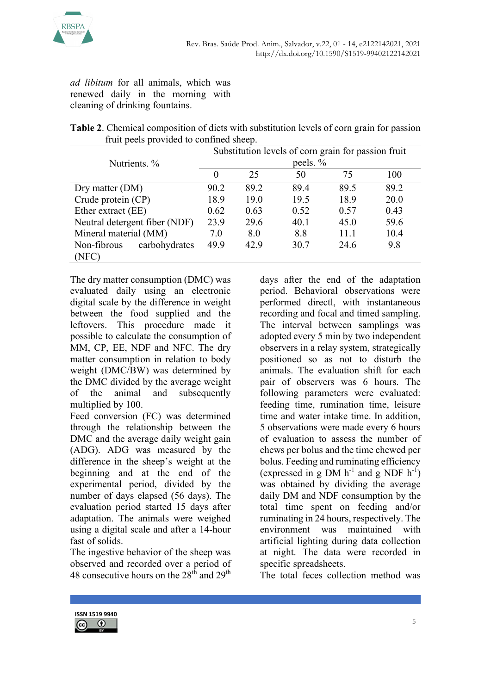

ad libitum for all animals, which was renewed daily in the morning with cleaning of drinking fountains.

|  | Table 2. Chemical composition of diets with substitution levels of corn grain for passion |  |  |
|--|-------------------------------------------------------------------------------------------|--|--|
|  | fruit peels provided to confined sheep.                                                   |  |  |

|                               | Substitution levels of corn grain for passion fruit |      |      |      |      |  |  |  |
|-------------------------------|-----------------------------------------------------|------|------|------|------|--|--|--|
| Nutrients. %                  | peels. %                                            |      |      |      |      |  |  |  |
|                               | $\theta$                                            | 25   | 50   | 75   | 100  |  |  |  |
| Dry matter $(DM)$             | 90.2                                                | 89.2 | 89.4 | 89.5 | 89.2 |  |  |  |
| Crude protein (CP)            | 18.9                                                | 19.0 | 19.5 | 18.9 | 20.0 |  |  |  |
| Ether extract (EE)            | 0.62                                                | 0.63 | 0.52 | 0.57 | 0.43 |  |  |  |
| Neutral detergent fiber (NDF) | 23.9                                                | 29.6 | 40.1 | 45.0 | 59.6 |  |  |  |
| Mineral material (MM)         | 7.0                                                 | 8.0  | 8.8  | 11.1 | 10.4 |  |  |  |
| carbohydrates<br>Non-fibrous  | 49.9                                                | 42.9 | 30.7 | 24.6 | 9.8  |  |  |  |
| (NFC)                         |                                                     |      |      |      |      |  |  |  |

The dry matter consumption (DMC) was evaluated daily using an electronic digital scale by the difference in weight between the food supplied and the leftovers. This procedure made it possible to calculate the consumption of MM, CP, EE, NDF and NFC. The dry matter consumption in relation to body weight (DMC/BW) was determined by the DMC divided by the average weight of the animal and subsequently multiplied by 100.

Feed conversion (FC) was determined through the relationship between the DMC and the average daily weight gain (ADG). ADG was measured by the difference in the sheep's weight at the beginning and at the end of the experimental period, divided by the number of days elapsed (56 days). The evaluation period started 15 days after adaptation. The animals were weighed using a digital scale and after a 14-hour fast of solids.

The ingestive behavior of the sheep was observed and recorded over a period of 48 consecutive hours on the  $28<sup>th</sup>$  and  $29<sup>th</sup>$ 

days after the end of the adaptation period. Behavioral observations were performed directl, with instantaneous recording and focal and timed sampling. The interval between samplings was adopted every 5 min by two independent observers in a relay system, strategically positioned so as not to disturb the animals. The evaluation shift for each pair of observers was 6 hours. The following parameters were evaluated: feeding time, rumination time, leisure time and water intake time. In addition, 5 observations were made every 6 hours of evaluation to assess the number of chews per bolus and the time chewed per bolus. Feeding and ruminating efficiency (expressed in g DM  $h^{-1}$  and g NDF  $h^{-1}$ ) was obtained by dividing the average daily DM and NDF consumption by the total time spent on feeding and/or ruminating in 24 hours, respectively. The environment was maintained with artificial lighting during data collection at night. The data were recorded in specific spreadsheets.

The total feces collection method was

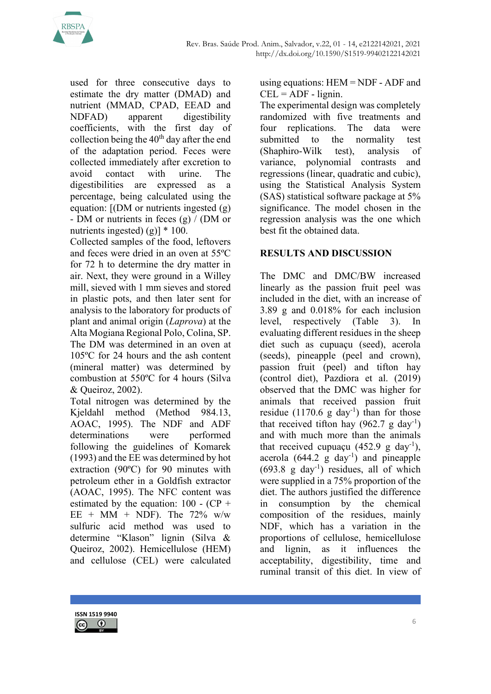

used for three consecutive days to estimate the dry matter (DMAD) and nutrient (MMAD, CPAD, EEAD and NDFAD) apparent digestibility coefficients, with the first day of collection being the  $40<sup>th</sup>$  day after the end of the adaptation period. Feces were collected immediately after excretion to avoid contact with urine. The digestibilities are expressed as a percentage, being calculated using the equation: [(DM or nutrients ingested (g) - DM or nutrients in feces (g) / (DM or nutrients ingested) (g)]  $*$  100.

Collected samples of the food, leftovers and feces were dried in an oven at 55ºC for 72 h to determine the dry matter in air. Next, they were ground in a Willey mill, sieved with 1 mm sieves and stored in plastic pots, and then later sent for analysis to the laboratory for products of plant and animal origin (Laprova) at the Alta Mogiana Regional Polo, Colina, SP. The DM was determined in an oven at 105ºC for 24 hours and the ash content (mineral matter) was determined by combustion at 550ºC for 4 hours (Silva & Queiroz, 2002).

Total nitrogen was determined by the Kjeldahl method (Method 984.13, AOAC, 1995). The NDF and ADF determinations were performed following the guidelines of Komarek (1993) and the EE was determined by hot extraction (90ºC) for 90 minutes with petroleum ether in a Goldfish extractor (AOAC, 1995). The NFC content was estimated by the equation:  $100 - (CP +$ EE + MM + NDF). The  $72\%$  w/w sulfuric acid method was used to determine "Klason" lignin (Silva & Queiroz, 2002). Hemicellulose (HEM) and cellulose (CEL) were calculated using equations: HEM = NDF - ADF and  $CEL = ADF - lignin.$ 

The experimental design was completely randomized with five treatments and four replications. The data were submitted to the normality test (Shaphiro-Wilk test), analysis of variance, polynomial contrasts and regressions (linear, quadratic and cubic), using the Statistical Analysis System (SAS) statistical software package at 5% significance. The model chosen in the regression analysis was the one which best fit the obtained data.

## RESULTS AND DISCUSSION

The DMC and DMC/BW increased linearly as the passion fruit peel was included in the diet, with an increase of 3.89 g and 0.018% for each inclusion level, respectively (Table 3). In evaluating different residues in the sheep diet such as cupuaçu (seed), acerola (seeds), pineapple (peel and crown), passion fruit (peel) and tifton hay (control diet), Pazdiora et al. (2019) observed that the DMC was higher for animals that received passion fruit residue  $(1170.6 \text{ g day}^{-1})$  than for those that received tifton hay  $(962.7 \text{ g day}^{-1})$ and with much more than the animals that received cupuacu  $(452.9 \text{ g day}^{-1})$ , acerola  $(644.2 \text{ g day}^{-1})$  and pineapple  $(693.8 \text{ g day}^{-1})$  residues, all of which were supplied in a 75% proportion of the diet. The authors justified the difference in consumption by the chemical composition of the residues, mainly NDF, which has a variation in the proportions of cellulose, hemicellulose and lignin, as it influences the acceptability, digestibility, time and ruminal transit of this diet. In view of

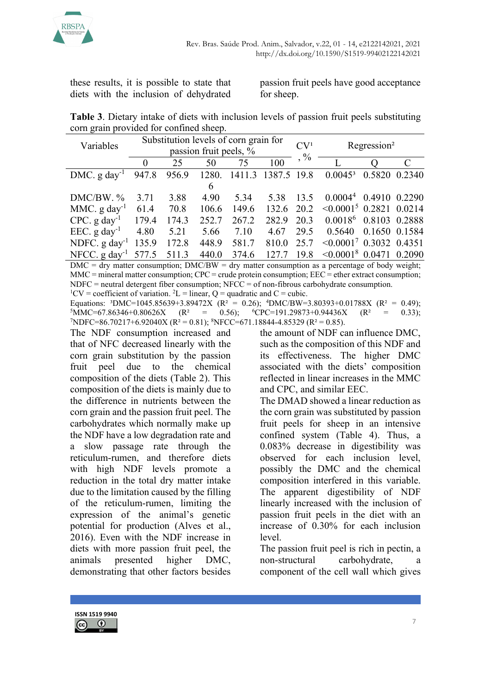

these results, it is possible to state that diets with the inclusion of dehydrated

passion fruit peels have good acceptance for sheep.

Table 3. Dietary intake of diets with inclusion levels of passion fruit peels substituting corn grain provided for confined sheep.

| Variables                    |          |       |                        | Substitution levels of corn grain for | CV <sup>1</sup> | Regression <sup>2</sup> |                               |               |  |
|------------------------------|----------|-------|------------------------|---------------------------------------|-----------------|-------------------------|-------------------------------|---------------|--|
|                              |          |       | passion fruit peels, % |                                       |                 |                         |                               |               |  |
|                              | $\theta$ | 25    | 50                     | 75                                    | 100             | $, \frac{0}{0}$         |                               |               |  |
| DMC. $g \, \text{day}^{-1}$  | 947.8    | 956.9 | 1280.                  | 1411.3                                | 1387.5 19.8     |                         | $0.0045^3$                    | 0.5820 0.2340 |  |
|                              |          |       | 6                      |                                       |                 |                         |                               |               |  |
| DMC/BW. %                    | 3.71     | 3.88  | 4.90                   | 5.34                                  | 5.38            | 13.5                    | $0.00044$ 0.4910 0.2290       |               |  |
| MMC. $g \, day^{-1}$         | 61.4     | 70.8  | 106.6                  | 149.6                                 | 132.6 20.2      |                         | $\leq 0.0001^5$ 0.2821 0.0214 |               |  |
| $CPC. g day-1$               | 179.4    | 174.3 | 252.7                  | 267.2                                 | 282.9           | 20.3                    | $0.0018^6$ 0.8103 0.2888      |               |  |
| EEC. $g \, day^{-1}$         | 4.80     | 5.21  | 5.66                   | 7.10                                  | 4.67            | 29.5                    | 0.5640                        | 0.1650 0.1584 |  |
| NDFC. $g \, day^{-1}$        | 135.9    | 172.8 | 448.9                  | 581.7                                 | 810.0           | 25.7                    | $\leq 0.0001^7$ 0.3032 0.4351 |               |  |
| NFCC. $g \, \text{day}^{-1}$ | 577.5    | 511.3 | 440.0                  | 374.6                                 | 127.7           | 19.8                    | $\leq 0.0001^8$ 0.0471 0.2090 |               |  |

 $DMC =$  dry matter consumption;  $DMC/BW =$  dry matter consumption as a percentage of body weight;  $MMC =$  mineral matter consumption; CPC = crude protein consumption; EEC = ether extract consumption;  $NDFC$  = neutral detergent fiber consumption;  $NFCC$  = of non-fibrous carbohydrate consumption.

<sup>1</sup>CV = coefficient of variation. <sup>2</sup>L = linear, Q = quadratic and C = cubic.

Equations: <sup>3</sup>DMC=1045.85639+3.89472X ( $R^2 = 0.26$ ); <sup>4</sup>DMC/BW=3.80393+0.01788X ( $R^2 = 0.49$ );  ${}^{5}$ MMC=67.86346+0.80626X (R<sup>2</sup> = 0.56);  ${}^{6}$ CPC=191.29873+0.94436X (R<sup>2</sup> = 0.33);  $^7$ NDFC=86.70217+6.92040X (R<sup>2</sup> = 0.81);  $^8$ NFCC=671.18844-4.85329 (R<sup>2</sup> = 0.85).

The NDF consumption increased and that of NFC decreased linearly with the corn grain substitution by the passion fruit peel due to the chemical composition of the diets (Table 2). This composition of the diets is mainly due to the difference in nutrients between the corn grain and the passion fruit peel. The carbohydrates which normally make up the NDF have a low degradation rate and a slow passage rate through the reticulum-rumen, and therefore diets with high NDF levels promote a reduction in the total dry matter intake due to the limitation caused by the filling of the reticulum-rumen, limiting the expression of the animal's genetic potential for production (Alves et al., 2016). Even with the NDF increase in diets with more passion fruit peel, the animals presented higher DMC, demonstrating that other factors besides

the amount of NDF can influence DMC, such as the composition of this NDF and its effectiveness. The higher DMC associated with the diets' composition reflected in linear increases in the MMC and CPC, and similar EEC.

The DMAD showed a linear reduction as the corn grain was substituted by passion fruit peels for sheep in an intensive confined system (Table 4). Thus, a 0.083% decrease in digestibility was observed for each inclusion level, possibly the DMC and the chemical composition interfered in this variable. The apparent digestibility of NDF linearly increased with the inclusion of passion fruit peels in the diet with an increase of 0.30% for each inclusion level.

The passion fruit peel is rich in pectin, a non-structural carbohydrate, a component of the cell wall which gives

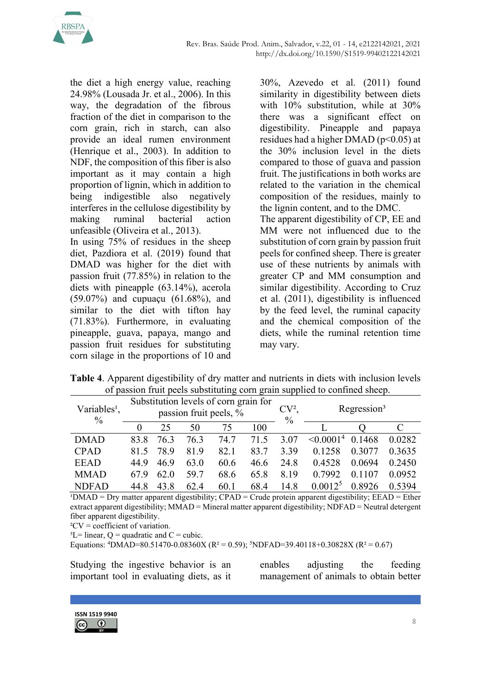

the diet a high energy value, reaching 24.98% (Lousada Jr. et al., 2006). In this way, the degradation of the fibrous fraction of the diet in comparison to the corn grain, rich in starch, can also provide an ideal rumen environment (Henrique et al., 2003). In addition to NDF, the composition of this fiber is also important as it may contain a high proportion of lignin, which in addition to being indigestible also negatively interferes in the cellulose digestibility by making ruminal bacterial action unfeasible (Oliveira et al., 2013).

In using 75% of residues in the sheep diet, Pazdiora et al. (2019) found that DMAD was higher for the diet with passion fruit (77.85%) in relation to the diets with pineapple (63.14%), acerola (59.07%) and cupuaçu (61.68%), and similar to the diet with tifton hay (71.83%). Furthermore, in evaluating pineapple, guava, papaya, mango and passion fruit residues for substituting corn silage in the proportions of 10 and

30%, Azevedo et al. (2011) found similarity in digestibility between diets with 10% substitution, while at 30% there was a significant effect on digestibility. Pineapple and papaya residues had a higher DMAD ( $p$ <0.05) at the 30% inclusion level in the diets compared to those of guava and passion fruit. The justifications in both works are related to the variation in the chemical composition of the residues, mainly to the lignin content, and to the DMC.

The apparent digestibility of CP, EE and MM were not influenced due to the substitution of corn grain by passion fruit peels for confined sheep. There is greater use of these nutrients by animals with greater CP and MM consumption and similar digestibility. According to Cruz et al. (2011), digestibility is influenced by the feed level, the ruminal capacity and the chemical composition of the diets, while the ruminal retention time may vary.

| <b>Table 4.</b> Apparent digestibility of dry matter and nutrients in diets with inclusion levels |
|---------------------------------------------------------------------------------------------------|
| of passion fruit peels substituting corn grain supplied to confined sheep.                        |
| Substitution lovels of comparative for                                                            |

| Variables <sup>1</sup> ,<br>$\frac{0}{0}$ | Substitution levels of corn grain for<br>passion fruit peels, % |      |      |      |      | CV <sup>2</sup><br>$\frac{0}{0}$ |                     | Regression <sup>3</sup> |        |
|-------------------------------------------|-----------------------------------------------------------------|------|------|------|------|----------------------------------|---------------------|-------------------------|--------|
|                                           | $\Omega$                                                        | 25   | 50   | 75   | 100  |                                  |                     |                         |        |
| <b>DMAD</b>                               | 83.8                                                            | 76.3 | 76.3 | 74.7 | 71.5 | 3.07                             | $\leq 0.0001^4$     | 0.1468                  | 0.0282 |
| <b>CPAD</b>                               | 81.5                                                            | 78.9 | 81.9 | 82.1 | 83.7 | 3.39                             | 0.1258              | 0.3077                  | 0.3635 |
| <b>EEAD</b>                               | 44.9                                                            | 46.9 | 63.0 | 60.6 | 46.6 | 24.8                             | 0.4528              | 0.0694                  | 0.2450 |
| <b>MMAD</b>                               | 67.9                                                            | 62.0 | 59.7 | 68.6 | 65.8 | 8.19                             | 0.7992              | 0.1107                  | 0.0952 |
| <b>NDFAD</b>                              | 44.8                                                            | 43.8 | 62.4 | 60.1 | 68.4 | 14.8                             | 0.0012 <sup>5</sup> | 0.8926                  | 0.5394 |

 $\text{PMAD} = \text{Dry matter apparent digestibility: CPAD} = \text{Crude protein apparent digestibility: EEAD} = \text{Ether}$ extract apparent digestibility; MMAD = Mineral matter apparent digestibility; NDFAD = Neutral detergent fiber apparent digestibility.

 ${}^{2}CV = coefficient$  of variation.

 ${}^{3}L=$  linear, Q = quadratic and C = cubic.

Equations:  $\text{4}$ DMAD=80.51470-0.08360X (R<sup>2</sup> = 0.59);  $\text{5}$ NDFAD=39.40118+0.30828X (R<sup>2</sup> = 0.67)

Studying the ingestive behavior is an important tool in evaluating diets, as it

enables adjusting the feeding management of animals to obtain better

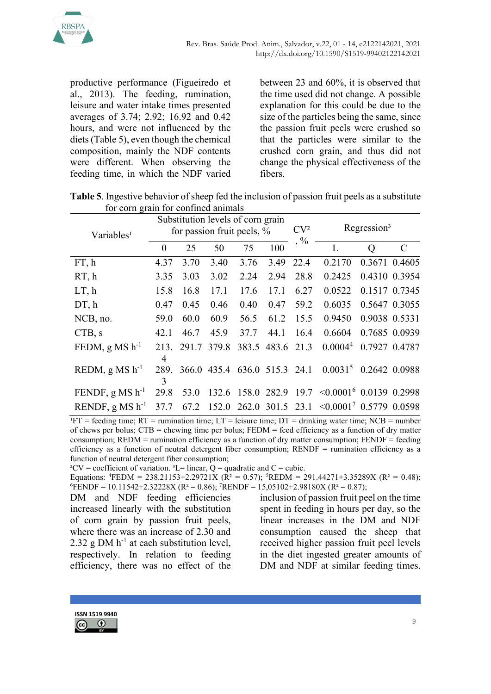

productive performance (Figueiredo et al., 2013). The feeding, rumination, leisure and water intake times presented averages of 3.74; 2.92; 16.92 and 0.42 hours, and were not influenced by the diets (Table 5), even though the chemical composition, mainly the NDF contents were different. When observing the feeding time, in which the NDF varied between 23 and 60%, it is observed that the time used did not change. A possible explanation for this could be due to the size of the particles being the same, since the passion fruit peels were crushed so that the particles were similar to the crushed corn grain, and thus did not change the physical effectiveness of the fibers.

Table 5. Ingestive behavior of sheep fed the inclusion of passion fruit peels as a substitute for corn grain for confined animals

| Variables <sup>1</sup> | Substitution levels of corn grain<br>for passion fruit peels, % |             |             |                  |            | CV <sup>2</sup> |                                                        | Regression <sup>3</sup> |               |
|------------------------|-----------------------------------------------------------------|-------------|-------------|------------------|------------|-----------------|--------------------------------------------------------|-------------------------|---------------|
|                        | $\Omega$                                                        | 25          | 50          | 75               | 100        | $, \frac{0}{0}$ |                                                        | $\overline{Q}$          | $\mathcal{C}$ |
| FT, h                  | 4.37                                                            | 3.70        | 3.40        | 3.76             | 3.49       | 22.4            | 0.2170                                                 | 0.3671 0.4605           |               |
| RT, h                  | 3.35                                                            | 3.03        | 3.02        | 2.24             | 2.94       | 28.8            | 0.2425                                                 | 0.4310 0.3954           |               |
| LT, h                  | 15.8                                                            | 16.8        | 17.1        | 17.6             | 17.1       | 6.27            | 0.0522                                                 | 0.1517 0.7345           |               |
| DT, h                  | 0.47                                                            | 0.45        | 0.46        | 0.40             | 0.47       | 59.2            | 0.6035                                                 | 0.5647 0.3055           |               |
| NCB, no.               | 59.0                                                            | 60.0        | 60.9        | 56.5             | 61.2       | 15.5            | 0.9450                                                 | 0.9038 0.5331           |               |
| CTB, s                 | 42.1                                                            | 46.7        | 45.9        | 37.7             | 44.1       | 16.4            | 0.6604                                                 | 0.7685 0.0939           |               |
| FEDM, g MS $h^{-1}$    | 213.<br>4                                                       | 291.7 379.8 |             | 383.5            | 483.6 21.3 |                 | 0.0004 <sup>4</sup>                                    | 0.7927 0.4787           |               |
| REDM, g MS $h^{-1}$    | 289.<br>3                                                       |             | 366.0 435.4 | 636.0 515.3 24.1 |            |                 | $0.0031^{5}$                                           | 0.2642 0.0988           |               |
| FENDF, g MS $h^{-1}$   | 29.8                                                            | 53.0        | 132.6       | 158.0            |            |                 | $282.9$ 19.7 $\leq 0.0001^6$ 0.0139 0.2998             |                         |               |
| RENDF, g MS $h^{-1}$   | 37.7                                                            | 67.2        | 152.0       |                  |            |                 | $262.0$ 301.5 23.1 < 0.0001 <sup>7</sup> 0.5779 0.0598 |                         |               |

 $\overline{P}T = \text{feedback time}$ ;  $RT = \text{running time}$ ;  $LT = \text{leisure time}$ ;  $DT = \text{drinking water time}$ ;  $NCB = \text{number}}$ of chews per bolus;  $CTB =$  chewing time per bolus;  $FEDM =$  feed efficiency as a function of dry matter consumption;  $REDM =$  rumination efficiency as a function of dry matter consumption;  $FENDF =$  feeding efficiency as a function of neutral detergent fiber consumption;  $RENDF =$  rumination efficiency as a function of neutral detergent fiber consumption;

<sup>2</sup>CV = coefficient of variation.<sup>3</sup>L= linear, Q = quadratic and C = cubic.

Equations: <sup>4</sup>FEDM = 238.21153+2.29721X ( $\mathbb{R}^2$  = 0.57); <sup>5</sup>REDM = 291.44271+3.35289X ( $\mathbb{R}^2$  = 0.48);  ${}^{6}$ ENDF = 10.11542+2.32228X (R<sup>2</sup> = 0.86); <sup>7</sup>RENDF = 15,05102+2.98180X (R<sup>2</sup> = 0.87);

DM and NDF feeding efficiencies increased linearly with the substitution of corn grain by passion fruit peels, where there was an increase of 2.30 and 2.32 g DM  $h^{-1}$  at each substitution level, respectively. In relation to feeding efficiency, there was no effect of the

inclusion of passion fruit peel on the time spent in feeding in hours per day, so the linear increases in the DM and NDF consumption caused the sheep that received higher passion fruit peel levels in the diet ingested greater amounts of DM and NDF at similar feeding times.

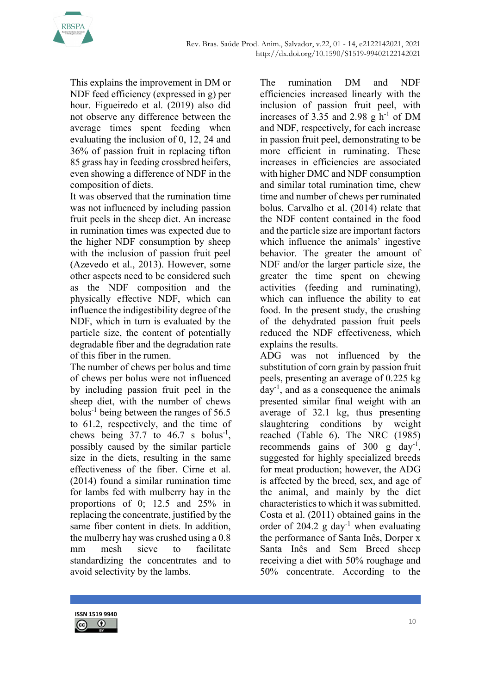

This explains the improvement in DM or NDF feed efficiency (expressed in g) per hour. Figueiredo et al. (2019) also did not observe any difference between the average times spent feeding when evaluating the inclusion of 0, 12, 24 and 36% of passion fruit in replacing tifton 85 grass hay in feeding crossbred heifers, even showing a difference of NDF in the composition of diets.

It was observed that the rumination time was not influenced by including passion fruit peels in the sheep diet. An increase in rumination times was expected due to the higher NDF consumption by sheep with the inclusion of passion fruit peel (Azevedo et al., 2013). However, some other aspects need to be considered such as the NDF composition and the physically effective NDF, which can influence the indigestibility degree of the NDF, which in turn is evaluated by the particle size, the content of potentially degradable fiber and the degradation rate of this fiber in the rumen.

The number of chews per bolus and time of chews per bolus were not influenced by including passion fruit peel in the sheep diet, with the number of chews bolus<sup>-1</sup> being between the ranges of  $56.5$ to 61.2, respectively, and the time of chews being  $37.7$  to  $46.7$  s bolus<sup>-1</sup>, possibly caused by the similar particle size in the diets, resulting in the same effectiveness of the fiber. Cirne et al. (2014) found a similar rumination time for lambs fed with mulberry hay in the proportions of 0; 12.5 and 25% in replacing the concentrate, justified by the same fiber content in diets. In addition, the mulberry hay was crushed using a 0.8 mm mesh sieve to facilitate standardizing the concentrates and to avoid selectivity by the lambs.

The rumination DM and NDF efficiencies increased linearly with the inclusion of passion fruit peel, with increases of 3.35 and 2.98 g  $h^{-1}$  of DM and NDF, respectively, for each increase in passion fruit peel, demonstrating to be more efficient in ruminating. These increases in efficiencies are associated with higher DMC and NDF consumption and similar total rumination time, chew time and number of chews per ruminated bolus. Carvalho et al. (2014) relate that the NDF content contained in the food and the particle size are important factors which influence the animals' ingestive behavior. The greater the amount of NDF and/or the larger particle size, the greater the time spent on chewing activities (feeding and ruminating), which can influence the ability to eat food. In the present study, the crushing of the dehydrated passion fruit peels reduced the NDF effectiveness, which explains the results.

ADG was not influenced by the substitution of corn grain by passion fruit peels, presenting an average of 0.225 kg  $day^{-1}$ , and as a consequence the animals presented similar final weight with an average of 32.1 kg, thus presenting slaughtering conditions by weight reached (Table 6). The NRC (1985) recommends gains of  $300 \text{ g day}^{-1}$ , suggested for highly specialized breeds for meat production; however, the ADG is affected by the breed, sex, and age of the animal, and mainly by the diet characteristics to which it was submitted. Costa et al. (2011) obtained gains in the order of 204.2 g day<sup>-1</sup> when evaluating the performance of Santa Inês, Dorper x Santa Inês and Sem Breed sheep receiving a diet with 50% roughage and 50% concentrate. According to the

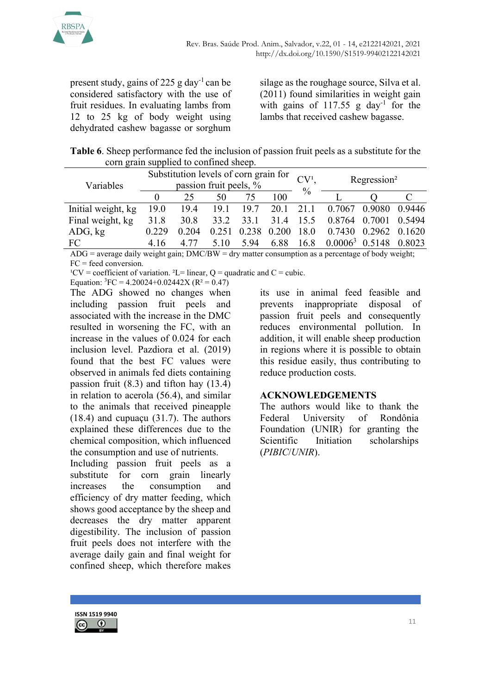

present study, gains of 225 g day<sup>-1</sup> can be considered satisfactory with the use of fruit residues. In evaluating lambs from 12 to 25 kg of body weight using dehydrated cashew bagasse or sorghum silage as the roughage source, Silva et al. (2011) found similarities in weight gain with gains of  $117.55$  g day<sup>-1</sup> for the lambs that received cashew bagasse.

| Table 6. Sheep performance fed the inclusion of passion fruit peels as a substitute for the |
|---------------------------------------------------------------------------------------------|
| corn grain supplied to confined sheep.                                                      |

| Variables          | Substitution levels of corn grain for<br>passion fruit peels, % |       |       |       |           |      | CV <sup>1</sup><br>Regression <sup>2</sup> |        |        |
|--------------------|-----------------------------------------------------------------|-------|-------|-------|-----------|------|--------------------------------------------|--------|--------|
|                    |                                                                 | 25    | 50    |       | 100       | $\%$ |                                            |        |        |
| Initial weight, kg | 19.0                                                            | 19.4  | 19.1  | 19.7  | 20.1 21.1 |      | 0.7067                                     | 0.9080 | 0.9446 |
| Final weight, kg   | 31.8                                                            | 30.8  | 33.2  | 33.1  | 31.4      | 15.5 | 0.8764                                     | 0.7001 | 0.5494 |
| ADG, kg            | 0.229                                                           | 0.204 | 0.251 | 0.238 | 0.200     | 18.0 | 0.7430                                     | 0.2962 | 0.1620 |
| FC                 | 416                                                             | 4 77  | 5.10  | 5.94  | 6.88      | 16.8 | 0.0006 <sup>3</sup>                        | 0.5148 | 0.8023 |

 $ADG$  = average daily weight gain;  $DMC/BW$  = dry matter consumption as a percentage of body weight; FC = feed conversion.

<sup>1</sup>CV = coefficient of variation. <sup>2</sup>L= linear,  $Q =$  quadratic and  $C =$  cubic.

Equation:  ${}^{3}FC = 4.20024 + 0.02442X$  (R<sup>2</sup> = 0.47)

The ADG showed no changes when including passion fruit peels and associated with the increase in the DMC resulted in worsening the FC, with an increase in the values of 0.024 for each inclusion level. Pazdiora et al. (2019) found that the best FC values were observed in animals fed diets containing passion fruit (8.3) and tifton hay (13.4) in relation to acerola (56.4), and similar to the animals that received pineapple (18.4) and cupuaçu (31.7). The authors explained these differences due to the chemical composition, which influenced the consumption and use of nutrients.

Including passion fruit peels as a substitute for corn grain linearly increases the consumption and efficiency of dry matter feeding, which shows good acceptance by the sheep and decreases the dry matter apparent digestibility. The inclusion of passion fruit peels does not interfere with the average daily gain and final weight for confined sheep, which therefore makes

its use in animal feed feasible and prevents inappropriate disposal of passion fruit peels and consequently reduces environmental pollution. In addition, it will enable sheep production in regions where it is possible to obtain this residue easily, thus contributing to reduce production costs.

## ACKNOWLEDGEMENTS

The authors would like to thank the Federal University of Rondônia Foundation (UNIR) for granting the Scientific Initiation scholarships (PIBIC/UNIR).

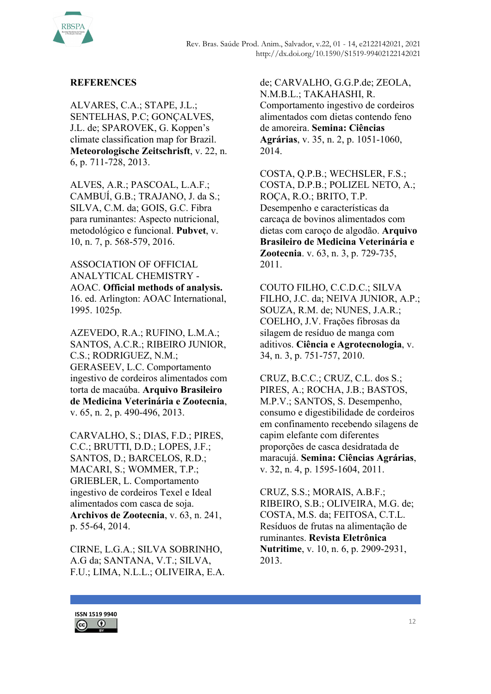

## **REFERENCES**

ALVARES, C.A.; STAPE, J.L.; SENTELHAS, P.C; GONÇALVES, J.L. de; SPAROVEK, G. Koppen's climate classification map for Brazil. Meteorologische Zeitschrisft, v. 22, n. 6, p. 711-728, 2013.

ALVES, A.R.; PASCOAL, L.A.F.; CAMBUÍ, G.B.; TRAJANO, J. da S.; SILVA, C.M. da; GOIS, G.C. Fibra para ruminantes: Aspecto nutricional, metodológico e funcional. Pubvet, v. 10, n. 7, p. 568-579, 2016.

ASSOCIATION OF OFFICIAL ANALYTICAL CHEMISTRY - AOAC. Official methods of analysis. 16. ed. Arlington: AOAC International, 1995. 1025p.

AZEVEDO, R.A.; RUFINO, L.M.A.; SANTOS, A.C.R.; RIBEIRO JUNIOR, C.S.; RODRIGUEZ, N.M.; GERASEEV, L.C. Comportamento ingestivo de cordeiros alimentados com torta de macaúba. Arquivo Brasileiro de Medicina Veterinária e Zootecnia, v. 65, n. 2, p. 490-496, 2013.

CARVALHO, S.; DIAS, F.D.; PIRES, C.C.; BRUTTI, D.D.; LOPES, J.F.; SANTOS, D.; BARCELOS, R.D.; MACARI, S.; WOMMER, T.P.; GRIEBLER, L. Comportamento ingestivo de cordeiros Texel e Ideal alimentados com casca de soja. Archivos de Zootecnia, v. 63, n. 241, p. 55-64, 2014.

CIRNE, L.G.A.; SILVA SOBRINHO, A.G da; SANTANA, V.T.; SILVA, F.U.; LIMA, N.L.L.; OLIVEIRA, E.A.

de; CARVALHO, G.G.P.de; ZEOLA, N.M.B.L.; TAKAHASHI, R. Comportamento ingestivo de cordeiros alimentados com dietas contendo feno de amoreira. Semina: Ciências Agrárias, v. 35, n. 2, p. 1051-1060, 2014.

COSTA, Q.P.B.; WECHSLER, F.S.; COSTA, D.P.B.; POLIZEL NETO, A.; ROÇA, R.O.; BRITO, T.P. Desempenho e características da carcaça de bovinos alimentados com dietas com caroço de algodão. Arquivo Brasileiro de Medicina Veterinária e Zootecnia. v. 63, n. 3, p. 729-735, 2011.

COUTO FILHO, C.C.D.C.; SILVA FILHO, J.C. da; NEIVA JUNIOR, A.P.; SOUZA, R.M. de; NUNES, J.A.R.; COELHO, J.V. Frações fibrosas da silagem de resíduo de manga com aditivos. Ciência e Agrotecnologia, v. 34, n. 3, p. 751-757, 2010.

CRUZ, B.C.C.; CRUZ, C.L. dos S.; PIRES, A.; ROCHA, J.B.; BASTOS, M.P.V.; SANTOS, S. Desempenho, consumo e digestibilidade de cordeiros em confinamento recebendo silagens de capim elefante com diferentes proporções de casca desidratada de maracujá. Semina: Ciências Agrárias, v. 32, n. 4, p. 1595-1604, 2011.

CRUZ, S.S.; MORAIS, A.B.F.; RIBEIRO, S.B.; OLIVEIRA, M.G. de; COSTA, M.S. da; FEITOSA, C.T.L. Resíduos de frutas na alimentação de ruminantes. Revista Eletrônica Nutritime, v. 10, n. 6, p. 2909-2931, 2013.

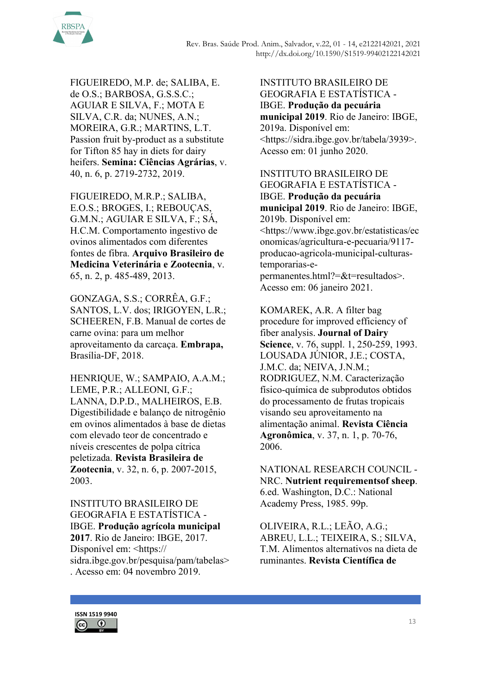

FIGUEIREDO, M.P. de; SALIBA, E. de O.S.; BARBOSA, G.S.S.C.; AGUIAR E SILVA, F.; MOTA E SILVA, C.R. da; NUNES, A.N.; MOREIRA, G.R.; MARTINS, L.T. Passion fruit by-product as a substitute for Tifton 85 hay in diets for dairy heifers. Semina: Ciências Agrárias, v. 40, n. 6, p. 2719-2732, 2019.

FIGUEIREDO, M.R.P.; SALIBA, E.O.S.; BROGES, I.; REBOUÇAS, G.M.N.; AGUIAR E SILVA, F.; SÁ, H.C.M. Comportamento ingestivo de ovinos alimentados com diferentes fontes de fibra. Arquivo Brasileiro de Medicina Veterinária e Zootecnia, v. 65, n. 2, p. 485-489, 2013.

GONZAGA, S.S.; CORRÊA, G.F.; SANTOS, L.V. dos; IRIGOYEN, L.R.; SCHEEREN, F.B. Manual de cortes de carne ovina: para um melhor aproveitamento da carcaça. Embrapa, Brasília-DF, 2018.

HENRIQUE, W.; SAMPAIO, A.A.M.; LEME, P.R.; ALLEONI, G.F.; LANNA, D.P.D., MALHEIROS, E.B. Digestibilidade e balanço de nitrogênio em ovinos alimentados à base de dietas com elevado teor de concentrado e níveis crescentes de polpa cítrica peletizada. Revista Brasileira de Zootecnia, v. 32, n. 6, p. 2007-2015, 2003.

INSTITUTO BRASILEIRO DE GEOGRAFIA E ESTATÍSTICA - IBGE. Produção agrícola municipal 2017. Rio de Janeiro: IBGE, 2017. Disponível em: <https:// sidra.ibge.gov.br/pesquisa/pam/tabelas> . Acesso em: 04 novembro 2019.

INSTITUTO BRASILEIRO DE GEOGRAFIA E ESTATÍSTICA - IBGE. Produção da pecuária municipal 2019. Rio de Janeiro: IBGE, 2019a. Disponível em: <https://sidra.ibge.gov.br/tabela/3939>. Acesso em: 01 junho 2020.

INSTITUTO BRASILEIRO DE GEOGRAFIA E ESTATÍSTICA - IBGE. Produção da pecuária municipal 2019. Rio de Janeiro: IBGE, 2019b. Disponível em: <https://www.ibge.gov.br/estatisticas/ec onomicas/agricultura-e-pecuaria/9117 producao-agricola-municipal-culturastemporarias-epermanentes.html?=&t=resultados>. Acesso em: 06 janeiro 2021.

KOMAREK, A.R. A filter bag procedure for improved efficiency of fiber analysis. Journal of Dairy Science, v. 76, suppl. 1, 250-259, 1993. LOUSADA JÚNIOR, J.E.; COSTA, J.M.C. da; NEIVA, J.N.M.; RODRIGUEZ, N.M. Caracterização físico-química de subprodutos obtidos do processamento de frutas tropicais visando seu aproveitamento na alimentação animal. Revista Ciência Agronômica, v. 37, n. 1, p. 70-76, 2006.

NATIONAL RESEARCH COUNCIL - NRC. Nutrient requirementsof sheep. 6.ed. Washington, D.C.: National Academy Press, 1985. 99p.

OLIVEIRA, R.L.; LEÃO, A.G.; ABREU, L.L.; TEIXEIRA, S.; SILVA, T.M. Alimentos alternativos na dieta de ruminantes. Revista Científica de